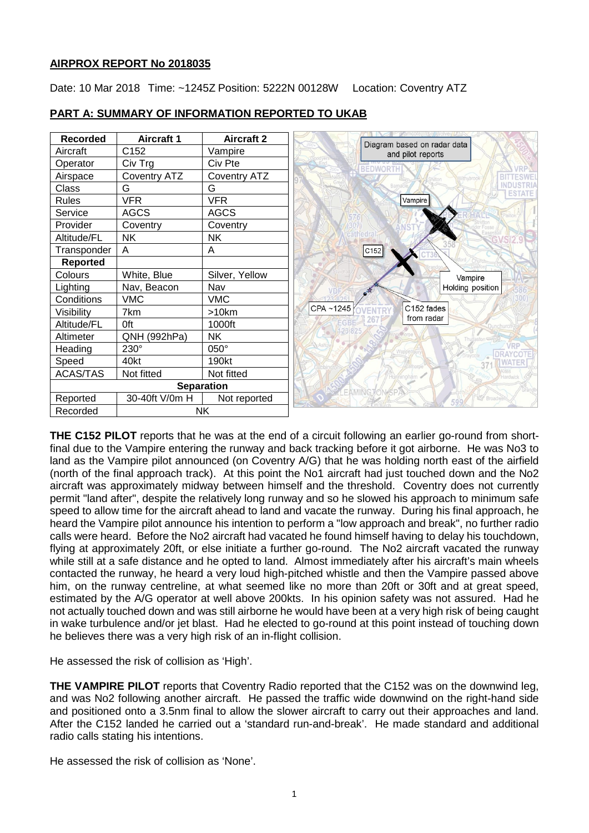# **AIRPROX REPORT No 2018035**

Date: 10 Mar 2018 Time: ~1245Z Position: 5222N 00128W Location: Coventry ATZ

| <b>Recorded</b>   | <b>Aircraft 1</b>   | <b>Aircraft 2</b>   | Diagram based on radar data          |
|-------------------|---------------------|---------------------|--------------------------------------|
| Aircraft          | C152                | Vampire             | and pilot reports                    |
| Operator          | Civ Trg             | Civ Pte             | <b>BEDWORT</b>                       |
| Airspace          | <b>Coventry ATZ</b> | <b>Coventry ATZ</b> |                                      |
| Class             | G                   | G                   | ESTATE                               |
| <b>Rules</b>      | <b>VFR</b>          | <b>VFR</b>          | Vampire                              |
| Service           | <b>AGCS</b>         | <b>AGCS</b>         |                                      |
| Provider          | Coventry            | Coventry            |                                      |
| Altitude/FL       | <b>NK</b>           | <b>NK</b>           |                                      |
| Transponder       | A                   | A                   | C152                                 |
| <b>Reported</b>   |                     |                     |                                      |
| Colours           | White, Blue         | Silver, Yellow      | Vampire                              |
| Lighting          | Nav, Beacon         | Nav                 | Holding position                     |
| Conditions        | <b>VMC</b>          | <b>VMC</b>          |                                      |
| Visibility        | 7km                 | >10km               | C152 fades<br>CPA~1245<br><b>VFN</b> |
| Altitude/FL       | <b>Oft</b>          | 1000ft              | from radar                           |
| Altimeter         | QNH (992hPa)        | <b>NK</b>           | Thudastor                            |
| Heading           | $230^\circ$         | 050°                | <b>DRAYCOTI</b>                      |
| Speed             | 40kt                | 190kt               |                                      |
| <b>ACAS/TAS</b>   | Not fitted          | Not fitted          | nninghan                             |
| <b>Separation</b> |                     |                     |                                      |
| Reported          | 30-40ft V/0m H      | Not reported        | Broadweil<br>FOO                     |
| Recorded          |                     | <b>NK</b>           |                                      |

# **PART A: SUMMARY OF INFORMATION REPORTED TO UKAB**

**THE C152 PILOT** reports that he was at the end of a circuit following an earlier go-round from shortfinal due to the Vampire entering the runway and back tracking before it got airborne. He was No3 to land as the Vampire pilot announced (on Coventry A/G) that he was holding north east of the airfield (north of the final approach track). At this point the No1 aircraft had just touched down and the No2 aircraft was approximately midway between himself and the threshold. Coventry does not currently permit "land after", despite the relatively long runway and so he slowed his approach to minimum safe speed to allow time for the aircraft ahead to land and vacate the runway. During his final approach, he heard the Vampire pilot announce his intention to perform a "low approach and break", no further radio calls were heard. Before the No2 aircraft had vacated he found himself having to delay his touchdown, flying at approximately 20ft, or else initiate a further go-round. The No2 aircraft vacated the runway while still at a safe distance and he opted to land. Almost immediately after his aircraft's main wheels contacted the runway, he heard a very loud high-pitched whistle and then the Vampire passed above him, on the runway centreline, at what seemed like no more than 20ft or 30ft and at great speed, estimated by the A/G operator at well above 200kts. In his opinion safety was not assured. Had he not actually touched down and was still airborne he would have been at a very high risk of being caught in wake turbulence and/or jet blast. Had he elected to go-round at this point instead of touching down he believes there was a very high risk of an in-flight collision.

He assessed the risk of collision as 'High'.

**THE VAMPIRE PILOT** reports that Coventry Radio reported that the C152 was on the downwind leg, and was No2 following another aircraft. He passed the traffic wide downwind on the right-hand side and positioned onto a 3.5nm final to allow the slower aircraft to carry out their approaches and land. After the C152 landed he carried out a 'standard run-and-break'. He made standard and additional radio calls stating his intentions.

He assessed the risk of collision as 'None'.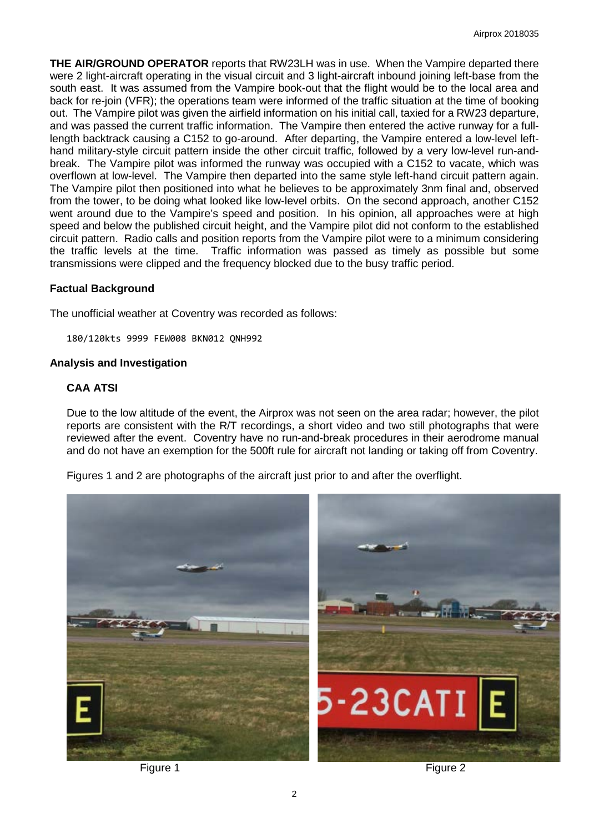**THE AIR/GROUND OPERATOR** reports that RW23LH was in use. When the Vampire departed there were 2 light-aircraft operating in the visual circuit and 3 light-aircraft inbound joining left-base from the south east. It was assumed from the Vampire book-out that the flight would be to the local area and back for re-join (VFR); the operations team were informed of the traffic situation at the time of booking out. The Vampire pilot was given the airfield information on his initial call, taxied for a RW23 departure, and was passed the current traffic information. The Vampire then entered the active runway for a fulllength backtrack causing a C152 to go-around. After departing, the Vampire entered a low-level lefthand military-style circuit pattern inside the other circuit traffic, followed by a very low-level run-andbreak. The Vampire pilot was informed the runway was occupied with a C152 to vacate, which was overflown at low-level. The Vampire then departed into the same style left-hand circuit pattern again. The Vampire pilot then positioned into what he believes to be approximately 3nm final and, observed from the tower, to be doing what looked like low-level orbits. On the second approach, another C152 went around due to the Vampire's speed and position. In his opinion, all approaches were at high speed and below the published circuit height, and the Vampire pilot did not conform to the established circuit pattern. Radio calls and position reports from the Vampire pilot were to a minimum considering the traffic levels at the time. Traffic information was passed as timely as possible but some transmissions were clipped and the frequency blocked due to the busy traffic period.

### **Factual Background**

The unofficial weather at Coventry was recorded as follows:

180/120kts 9999 FEW008 BKN012 QNH992

### **Analysis and Investigation**

## **CAA ATSI**

Due to the low altitude of the event, the Airprox was not seen on the area radar; however, the pilot reports are consistent with the R/T recordings, a short video and two still photographs that were reviewed after the event. Coventry have no run-and-break procedures in their aerodrome manual and do not have an exemption for the 500ft rule for aircraft not landing or taking off from Coventry.

Figures 1 and 2 are photographs of the aircraft just prior to and after the overflight.



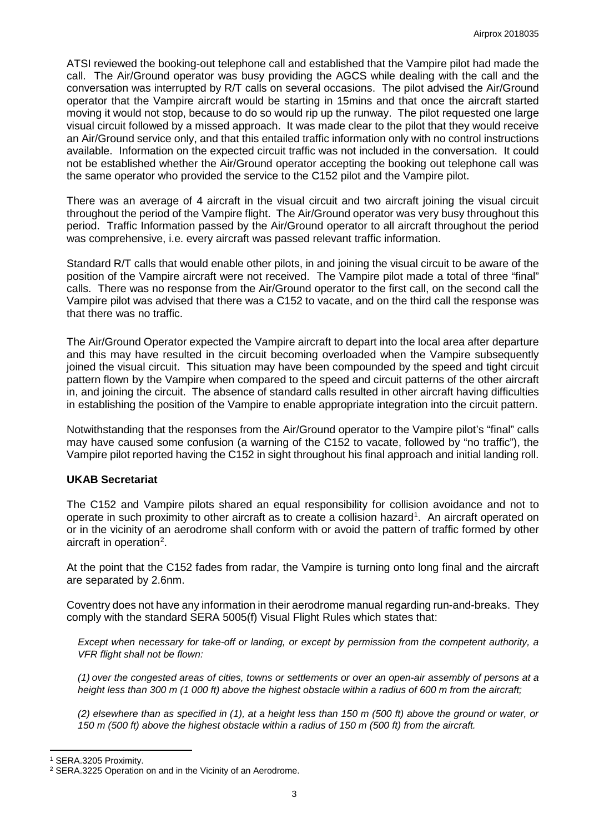ATSI reviewed the booking-out telephone call and established that the Vampire pilot had made the call. The Air/Ground operator was busy providing the AGCS while dealing with the call and the conversation was interrupted by R/T calls on several occasions. The pilot advised the Air/Ground operator that the Vampire aircraft would be starting in 15mins and that once the aircraft started moving it would not stop, because to do so would rip up the runway. The pilot requested one large visual circuit followed by a missed approach. It was made clear to the pilot that they would receive an Air/Ground service only, and that this entailed traffic information only with no control instructions available. Information on the expected circuit traffic was not included in the conversation. It could not be established whether the Air/Ground operator accepting the booking out telephone call was the same operator who provided the service to the C152 pilot and the Vampire pilot.

There was an average of 4 aircraft in the visual circuit and two aircraft joining the visual circuit throughout the period of the Vampire flight. The Air/Ground operator was very busy throughout this period. Traffic Information passed by the Air/Ground operator to all aircraft throughout the period was comprehensive, i.e. every aircraft was passed relevant traffic information.

Standard R/T calls that would enable other pilots, in and joining the visual circuit to be aware of the position of the Vampire aircraft were not received. The Vampire pilot made a total of three "final" calls. There was no response from the Air/Ground operator to the first call, on the second call the Vampire pilot was advised that there was a C152 to vacate, and on the third call the response was that there was no traffic.

The Air/Ground Operator expected the Vampire aircraft to depart into the local area after departure and this may have resulted in the circuit becoming overloaded when the Vampire subsequently joined the visual circuit. This situation may have been compounded by the speed and tight circuit pattern flown by the Vampire when compared to the speed and circuit patterns of the other aircraft in, and joining the circuit. The absence of standard calls resulted in other aircraft having difficulties in establishing the position of the Vampire to enable appropriate integration into the circuit pattern.

Notwithstanding that the responses from the Air/Ground operator to the Vampire pilot's "final" calls may have caused some confusion (a warning of the C152 to vacate, followed by "no traffic"), the Vampire pilot reported having the C152 in sight throughout his final approach and initial landing roll.

# **UKAB Secretariat**

The C152 and Vampire pilots shared an equal responsibility for collision avoidance and not to operate in such proximity to other aircraft as to create a collision hazard<sup>[1](#page-2-0)</sup>. An aircraft operated on or in the vicinity of an aerodrome shall conform with or avoid the pattern of traffic formed by other aircraft in operation<sup>[2](#page-2-1)</sup>.

At the point that the C152 fades from radar, the Vampire is turning onto long final and the aircraft are separated by 2.6nm.

Coventry does not have any information in their aerodrome manual regarding run-and-breaks. They comply with the standard SERA 5005(f) Visual Flight Rules which states that:

*Except when necessary for take-off or landing, or except by permission from the competent authority, a VFR flight shall not be flown:*

*(1) over the congested areas of cities, towns or settlements or over an open-air assembly of persons at a height less than 300 m (1 000 ft) above the highest obstacle within a radius of 600 m from the aircraft;* 

*(2) elsewhere than as specified in (1), at a height less than 150 m (500 ft) above the ground or water, or 150 m (500 ft) above the highest obstacle within a radius of 150 m (500 ft) from the aircraft.*

l

<span id="page-2-0"></span><sup>1</sup> SERA.3205 Proximity.

<span id="page-2-1"></span><sup>2</sup> SERA.3225 Operation on and in the Vicinity of an Aerodrome.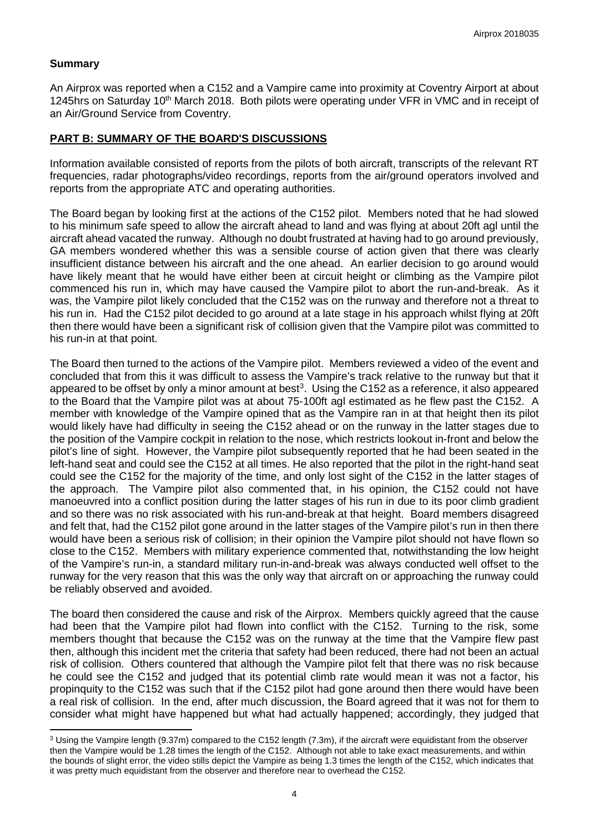### **Summary**

 $\overline{a}$ 

An Airprox was reported when a C152 and a Vampire came into proximity at Coventry Airport at about 1245hrs on Saturday 10<sup>th</sup> March 2018. Both pilots were operating under VFR in VMC and in receipt of an Air/Ground Service from Coventry.

### **PART B: SUMMARY OF THE BOARD'S DISCUSSIONS**

Information available consisted of reports from the pilots of both aircraft, transcripts of the relevant RT frequencies, radar photographs/video recordings, reports from the air/ground operators involved and reports from the appropriate ATC and operating authorities.

The Board began by looking first at the actions of the C152 pilot. Members noted that he had slowed to his minimum safe speed to allow the aircraft ahead to land and was flying at about 20ft agl until the aircraft ahead vacated the runway. Although no doubt frustrated at having had to go around previously, GA members wondered whether this was a sensible course of action given that there was clearly insufficient distance between his aircraft and the one ahead. An earlier decision to go around would have likely meant that he would have either been at circuit height or climbing as the Vampire pilot commenced his run in, which may have caused the Vampire pilot to abort the run-and-break. As it was, the Vampire pilot likely concluded that the C152 was on the runway and therefore not a threat to his run in. Had the C152 pilot decided to go around at a late stage in his approach whilst flying at 20ft then there would have been a significant risk of collision given that the Vampire pilot was committed to his run-in at that point.

The Board then turned to the actions of the Vampire pilot. Members reviewed a video of the event and concluded that from this it was difficult to assess the Vampire's track relative to the runway but that it appeared to be offset by only a minor amount at best<sup>[3](#page-3-0)</sup>. Using the C152 as a reference, it also appeared to the Board that the Vampire pilot was at about 75-100ft agl estimated as he flew past the C152. A member with knowledge of the Vampire opined that as the Vampire ran in at that height then its pilot would likely have had difficulty in seeing the C152 ahead or on the runway in the latter stages due to the position of the Vampire cockpit in relation to the nose, which restricts lookout in-front and below the pilot's line of sight. However, the Vampire pilot subsequently reported that he had been seated in the left-hand seat and could see the C152 at all times. He also reported that the pilot in the right-hand seat could see the C152 for the majority of the time, and only lost sight of the C152 in the latter stages of the approach. The Vampire pilot also commented that, in his opinion, the C152 could not have manoeuvred into a conflict position during the latter stages of his run in due to its poor climb gradient and so there was no risk associated with his run-and-break at that height. Board members disagreed and felt that, had the C152 pilot gone around in the latter stages of the Vampire pilot's run in then there would have been a serious risk of collision; in their opinion the Vampire pilot should not have flown so close to the C152. Members with military experience commented that, notwithstanding the low height of the Vampire's run-in, a standard military run-in-and-break was always conducted well offset to the runway for the very reason that this was the only way that aircraft on or approaching the runway could be reliably observed and avoided.

The board then considered the cause and risk of the Airprox. Members quickly agreed that the cause had been that the Vampire pilot had flown into conflict with the C152. Turning to the risk, some members thought that because the C152 was on the runway at the time that the Vampire flew past then, although this incident met the criteria that safety had been reduced, there had not been an actual risk of collision. Others countered that although the Vampire pilot felt that there was no risk because he could see the C152 and judged that its potential climb rate would mean it was not a factor, his propinquity to the C152 was such that if the C152 pilot had gone around then there would have been a real risk of collision. In the end, after much discussion, the Board agreed that it was not for them to consider what might have happened but what had actually happened; accordingly, they judged that

<span id="page-3-0"></span><sup>3</sup> Using the Vampire length (9.37m) compared to the C152 length (7.3m), if the aircraft were equidistant from the observer then the Vampire would be 1.28 times the length of the C152. Although not able to take exact measurements, and within the bounds of slight error, the video stills depict the Vampire as being 1.3 times the length of the C152, which indicates that it was pretty much equidistant from the observer and therefore near to overhead the C152.